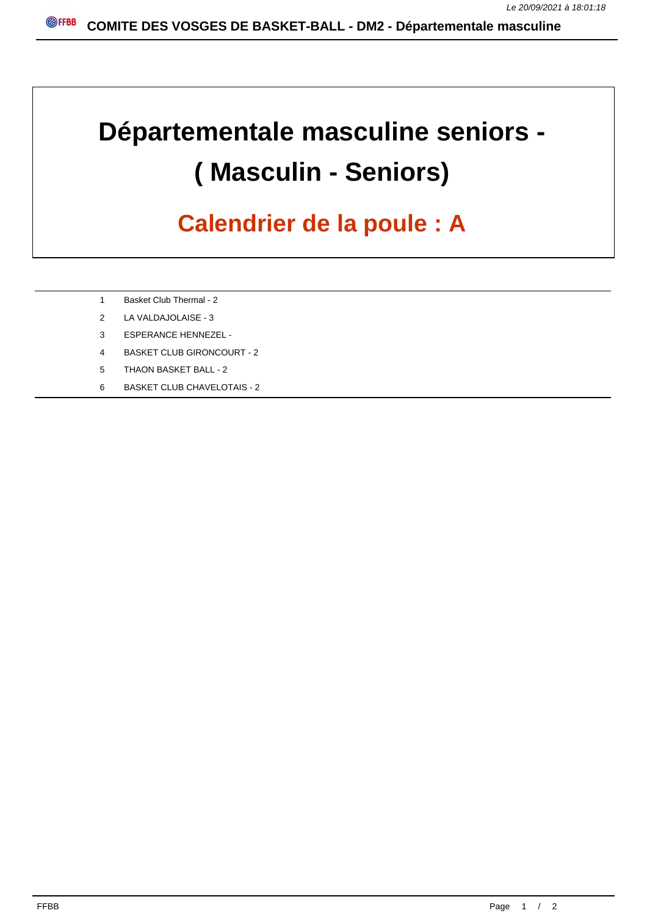## **Départementale masculine seniors - ( Masculin - Seniors)**

## **Calendrier de la poule : A**

- 1 Basket Club Thermal 2
- 2 LA VALDAJOLAISE 3
- 3 ESPERANCE HENNEZEL -
- 4 BASKET CLUB GIRONCOURT 2
- 5 THAON BASKET BALL 2
- 6 BASKET CLUB CHAVELOTAIS 2